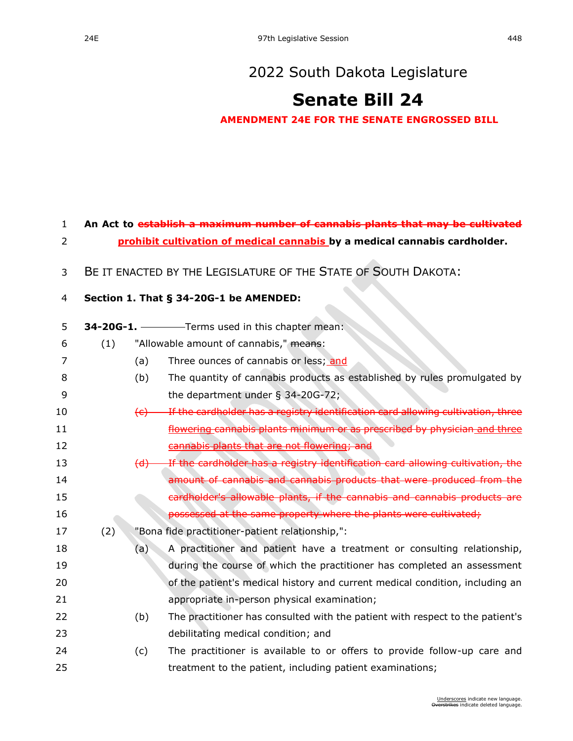## [2022 South Dakota Legislature](https://sdlegislature.gov/Session/Bills/64)

# **[Senate Bill 24](https://sdlegislature.gov/Session/Bill/22777)**

**AMENDMENT 24E FOR THE SENATE ENGROSSED BILL**

## **An Act to establish a maximum number of cannabis plants that may be cultivated**

- **prohibit cultivation of medical cannabis by a medical cannabis cardholder.**
- BE IT ENACTED BY THE LEGISLATURE OF THE STATE OF SOUTH DAKOTA:

#### **Section 1. [That § 34-20G-1 be AMENDED:](https://sdlegislature.gov/Statutes?Statute=34-20G-1)**

- **[34-20G-1.](https://sdlegislature.gov/Statutes?Statute=34-20G-1)** Terms used in this chapter mean:
- 6 (1) "Allowable amount of cannabis," means:
- 7 (a) Three ounces of cannabis or less; and
- (b) The quantity of cannabis products as established by rules promulgated by the department under § [34-20G-72;](https://sdlegislature.gov/Statutes?Statute=34-20G-72)
- 10 (c) If the cardholder has a registry identification card allowing cultivation, three *Elowering cannabis plants minimum or as prescribed by physician and three* 12 cannabis plants that are not flowering; and
- 13 (d) If the cardholder has a registry identification card allowing cultivation, the **amount of cannabis and cannabis products that were produced from the**  cardholder's allowable plants, if the cannabis and cannabis products are **possessed at the same property where the plants were cultivated;**
- (2) "Bona fide practitioner-patient relationship,":
- (a) A practitioner and patient have a treatment or consulting relationship, **19** during the course of which the practitioner has completed an assessment **120 of the patient's medical history and current medical condition, including an** appropriate in-person physical examination;
- (b) The practitioner has consulted with the patient with respect to the patient's debilitating medical condition; and
- (c) The practitioner is available to or offers to provide follow-up care and treatment to the patient, including patient examinations;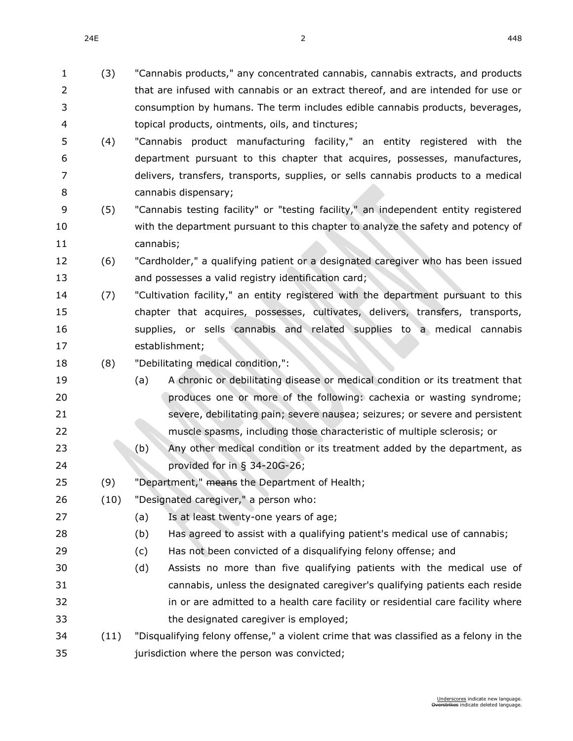$24E$  and  $2$  and  $2$  and  $2$  and  $2$  and  $2$  and  $2$  and  $2$  and  $2$  and  $2$  and  $2$  and  $2$  and  $2$  and  $2$  and  $2$  and  $2$  and  $2$  and  $2$  and  $2$  and  $2$  and  $2$  and  $2$  and  $2$  and  $2$  and  $2$  and  $2$  and  $2$  and  $2$ 

- that are infused with cannabis or an extract thereof, and are intended for use or consumption by humans. The term includes edible cannabis products, beverages, topical products, ointments, oils, and tinctures; (4) "Cannabis product manufacturing facility," an entity registered with the department pursuant to this chapter that acquires, possesses, manufactures, delivers, transfers, transports, supplies, or sells cannabis products to a medical cannabis dispensary; (5) "Cannabis testing facility" or "testing facility," an independent entity registered with the department pursuant to this chapter to analyze the safety and potency of cannabis; (6) "Cardholder," a qualifying patient or a designated caregiver who has been issued 13 and possesses a valid registry identification card; (7) "Cultivation facility," an entity registered with the department pursuant to this chapter that acquires, possesses, cultivates, delivers, transfers, transports, supplies, or sells cannabis and related supplies to a medical cannabis establishment; (8) "Debilitating medical condition,": (a) A chronic or debilitating disease or medical condition or its treatment that **produces one or more of the following: cachexia or wasting syndrome;**  severe, debilitating pain; severe nausea; seizures; or severe and persistent muscle spasms, including those characteristic of multiple sclerosis; or (b) Any other medical condition or its treatment added by the department, as provided for in § [34-20G-26;](https://sdlegislature.gov/Statutes?Statute=34-20G-26) 25 (9) "Department," means the Department of Health; (10) "Designated caregiver," a person who: (a) Is at least twenty-one years of age; (b) Has agreed to assist with a qualifying patient's medical use of cannabis; (c) Has not been convicted of a disqualifying felony offense; and (d) Assists no more than five qualifying patients with the medical use of cannabis, unless the designated caregiver's qualifying patients each reside in or are admitted to a health care facility or residential care facility where the designated caregiver is employed; (11) "Disqualifying felony offense," a violent crime that was classified as a felony in the
- jurisdiction where the person was convicted;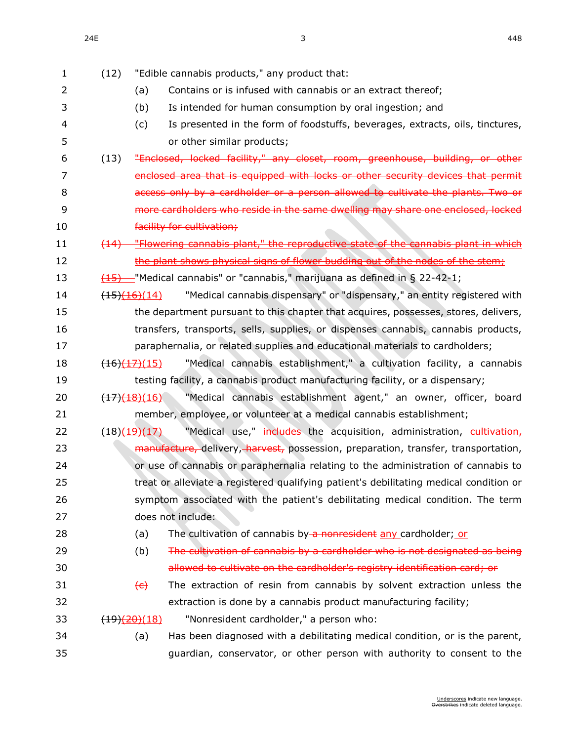| $\mathbf{1}$   | (12) | "Edible cannabis products," any product that:                                                                    |
|----------------|------|------------------------------------------------------------------------------------------------------------------|
| $\overline{2}$ |      | Contains or is infused with cannabis or an extract thereof;<br>(a)                                               |
| 3              |      | Is intended for human consumption by oral ingestion; and<br>(b)                                                  |
| 4              |      | Is presented in the form of foodstuffs, beverages, extracts, oils, tinctures,<br>(c)                             |
| 5              |      | or other similar products;                                                                                       |
| 6              | (13) | "Enclosed, locked facility," any closet, room, greenhouse, building, or other                                    |
| 7              |      | enclosed area that is equipped with locks or other security devices that permit                                  |
| 8              |      | access only by a cardholder or a person allowed to cultivate the plants. Two or                                  |
| 9              |      | more cardholders who reside in the same dwelling may share one enclosed, locked                                  |
| 10             |      | facility for cultivation;                                                                                        |
| 11             | (14) | "Flowering cannabis plant," the reproductive state of the cannabis plant in which                                |
| 12             |      | the plant shows physical signs of flower budding out of the nodes of the stem;                                   |
| 13             |      | $\frac{(15)}{(15)}$ Medical cannabis" or "cannabis," marijuana as defined in § 22-42-1;                          |
| 14             |      | "Medical cannabis dispensary" or "dispensary," an entity registered with<br>$\left(\frac{(15)(16)}{(14)}\right)$ |
| 15             |      | the department pursuant to this chapter that acquires, possesses, stores, delivers,                              |
| 16             |      | transfers, transports, sells, supplies, or dispenses cannabis, cannabis products,                                |
| 17             |      | paraphernalia, or related supplies and educational materials to cardholders;                                     |
| 18             |      | "Medical cannabis establishment," a cultivation facility, a cannabis<br>$\frac{(16)(17)(15)}{15}$                |
| 19             |      | testing facility, a cannabis product manufacturing facility, or a dispensary;                                    |
| 20             |      | "Medical cannabis establishment agent," an owner, officer, board<br>$\frac{(17)(18)(16)}{1}$                     |
| 21             |      | member, employee, or volunteer at a medical cannabis establishment;                                              |
| 22             |      | "Medical use," <del>-includes</del> the acquisition, administration, cultivation,<br>(18)(19)(17)                |
| 23             |      | manufacture, delivery, harvest, possession, preparation, transfer, transportation,                               |
| 24             |      | or use of cannabis or paraphernalia relating to the administration of cannabis to                                |
| 25             |      | treat or alleviate a registered qualifying patient's debilitating medical condition or                           |
| 26             |      | symptom associated with the patient's debilitating medical condition. The term                                   |
| 27             |      | does not include:                                                                                                |
| 28             |      | The cultivation of cannabis by a nonresident any cardholder; or<br>(a)                                           |
| 29             |      | The cultivation of cannabis by a cardholder who is not designated as being<br>(b)                                |
| 30             |      | allowed to cultivate on the cardholder's registry identification card; or                                        |
| 31             |      | The extraction of resin from cannabis by solvent extraction unless the<br>$\left\langle \epsilon \right\rangle$  |
| 32             |      | extraction is done by a cannabis product manufacturing facility;                                                 |
| 33             |      | "Nonresident cardholder," a person who:<br><del>(19)<u>(20)</u>(</del> 18)                                       |
| 34             |      | (a)<br>Has been diagnosed with a debilitating medical condition, or is the parent,                               |
| 35             |      | guardian, conservator, or other person with authority to consent to the                                          |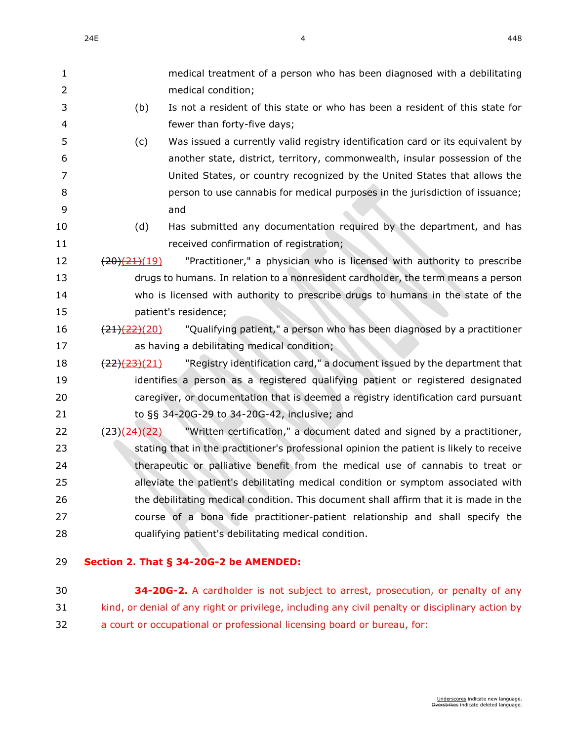| 1  |                          | medical treatment of a person who has been diagnosed with a debilitating                 |
|----|--------------------------|------------------------------------------------------------------------------------------|
| 2  |                          | medical condition;                                                                       |
| 3  | (b)                      | Is not a resident of this state or who has been a resident of this state for             |
| 4  |                          | fewer than forty-five days;                                                              |
| 5  | (c)                      | Was issued a currently valid registry identification card or its equivalent by           |
| 6  |                          | another state, district, territory, commonwealth, insular possession of the              |
| 7  |                          | United States, or country recognized by the United States that allows the                |
| 8  |                          | person to use cannabis for medical purposes in the jurisdiction of issuance;             |
| 9  |                          | and                                                                                      |
| 10 | (d)                      | Has submitted any documentation required by the department, and has                      |
| 11 |                          | received confirmation of registration;                                                   |
| 12 | $\frac{(20)(21)(19)}{2}$ | "Practitioner," a physician who is licensed with authority to prescribe                  |
| 13 |                          | drugs to humans. In relation to a nonresident cardholder, the term means a person        |
| 14 |                          | who is licensed with authority to prescribe drugs to humans in the state of the          |
| 15 |                          | patient's residence;                                                                     |
| 16 | (21)(22)(20)             | "Qualifying patient," a person who has been diagnosed by a practitioner                  |
| 17 |                          | as having a debilitating medical condition;                                              |
| 18 | $\frac{(22)(23)(21)}{2}$ | "Registry identification card," a document issued by the department that                 |
| 19 |                          | identifies a person as a registered qualifying patient or registered designated          |
| 20 |                          | caregiver, or documentation that is deemed a registry identification card pursuant       |
| 21 |                          | to §§ 34-20G-29 to 34-20G-42, inclusive; and                                             |
| 22 | (23)(24)(22)             | "Written certification," a document dated and signed by a practitioner,                  |
| 23 |                          | stating that in the practitioner's professional opinion the patient is likely to receive |
| 24 |                          | therapeutic or palliative benefit from the medical use of cannabis to treat or           |
| 25 |                          | alleviate the patient's debilitating medical condition or symptom associated with        |
| 26 |                          | the debilitating medical condition. This document shall affirm that it is made in the    |
| 27 |                          | course of a bona fide practitioner-patient relationship and shall specify the            |
| 28 |                          | qualifying patient's debilitating medical condition.                                     |
|    |                          |                                                                                          |
|    |                          |                                                                                          |

#### **Section 2. That § [34-20G-2](https://sdlegislature.gov/Statutes?Statute=34-20G-2) be AMENDED:**

 **[34-20G-2.](https://sdlegislature.gov/Statutes?Statute=34-20G-2)** A cardholder is not subject to arrest, prosecution, or penalty of any kind, or denial of any right or privilege, including any civil penalty or disciplinary action by a court or occupational or professional licensing board or bureau, for: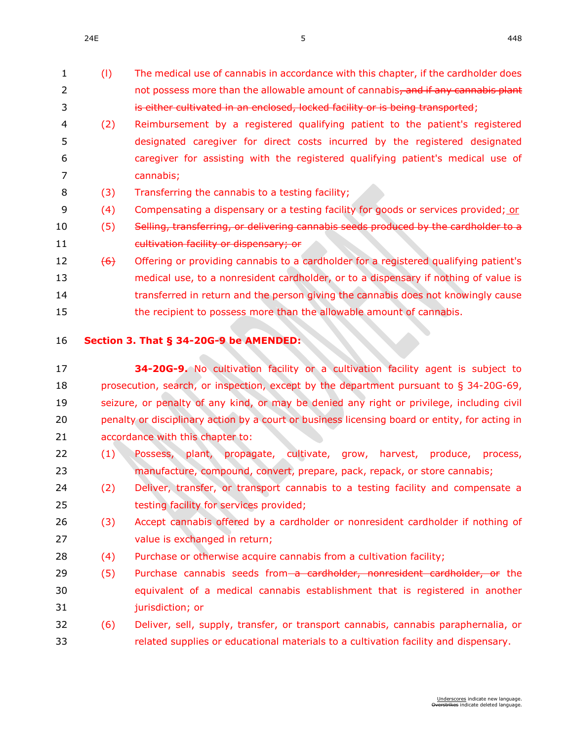- (l) The medical use of cannabis in accordance with this chapter, if the cardholder does 2 not possess more than the allowable amount of cannabis, and if any cannabis plant is either cultivated in an enclosed, locked facility or is being transported;
- (2) Reimbursement by a registered qualifying patient to the patient's registered designated caregiver for direct costs incurred by the registered designated caregiver for assisting with the registered qualifying patient's medical use of cannabis;
- (3) Transferring the cannabis to a testing facility;
- 9 (4) Compensating a dispensary or a testing facility for goods or services provided; or
- 10 (5) Selling, transferring, or delivering cannabis seeds produced by the cardholder to a cultivation facility or dispensary; or
- 12  $(6)$  Offering or providing cannabis to a cardholder for a registered qualifying patient's medical use, to a nonresident cardholder, or to a dispensary if nothing of value is transferred in return and the person giving the cannabis does not knowingly cause 15 the recipient to possess more than the allowable amount of cannabis.
- 

#### **Section 3. That § [34-20G-9](https://sdlegislature.gov/Statutes?Statute=34-20G-9) be AMENDED:**

- **[34-20G-9.](https://sdlegislature.gov/Statutes?Statute=34-20G-9)** No cultivation facility or a cultivation facility agent is subject to prosecution, search, or inspection, except by the department pursuant to § [34-20G-69,](https://sdlegislature.gov/Statutes?Statute=34-20G-69) seizure, or penalty of any kind, or may be denied any right or privilege, including civil penalty or disciplinary action by a court or business licensing board or entity, for acting in accordance with this chapter to:
- (1) Possess, plant, propagate, cultivate, grow, harvest, produce, process, manufacture, compound, convert, prepare, pack, repack, or store cannabis;
- (2) Deliver, transfer, or transport cannabis to a testing facility and compensate a testing facility for services provided;
- (3) Accept cannabis offered by a cardholder or nonresident cardholder if nothing of value is exchanged in return;
- 28 (4) Purchase or otherwise acquire cannabis from a cultivation facility;
- 29 (5) Purchase cannabis seeds from a cardholder, nonresident cardholder, or the equivalent of a medical cannabis establishment that is registered in another jurisdiction; or
- (6) Deliver, sell, supply, transfer, or transport cannabis, cannabis paraphernalia, or related supplies or educational materials to a cultivation facility and dispensary.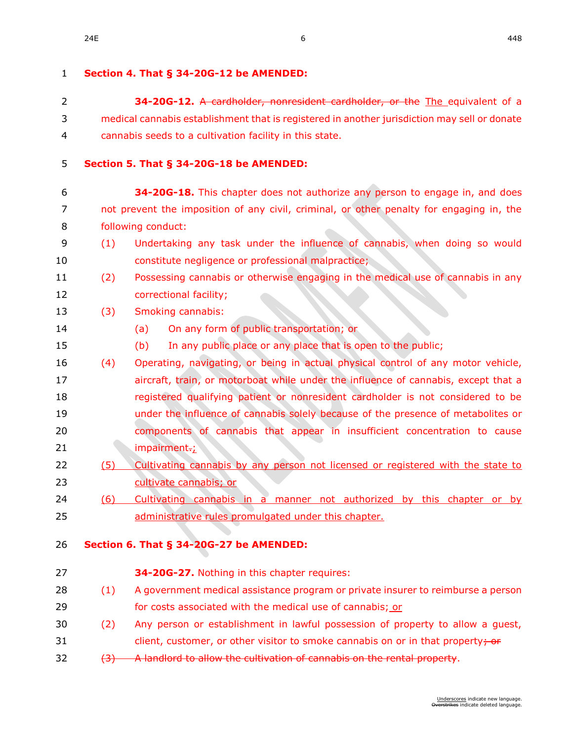| $\mathbf{1}$   |     | Section 4. That § 34-20G-12 be AMENDED:                                                      |
|----------------|-----|----------------------------------------------------------------------------------------------|
| $\overline{2}$ |     | 34-20G-12. A cardholder, nonresident cardholder, or the The equivalent of a                  |
| 3              |     | medical cannabis establishment that is registered in another jurisdiction may sell or donate |
| 4              |     | cannabis seeds to a cultivation facility in this state.                                      |
| 5              |     | Section 5. That § 34-20G-18 be AMENDED:                                                      |
| 6              |     | 34-20G-18. This chapter does not authorize any person to engage in, and does                 |
| 7              |     | not prevent the imposition of any civil, criminal, or other penalty for engaging in, the     |
| 8              |     | following conduct:                                                                           |
| 9              | (1) | Undertaking any task under the influence of cannabis, when doing so would                    |
| 10             |     | constitute negligence or professional malpractice;                                           |
| 11             | (2) | Possessing cannabis or otherwise engaging in the medical use of cannabis in any              |
| 12             |     | correctional facility;                                                                       |
| 13             | (3) | Smoking cannabis:                                                                            |
| 14             |     | On any form of public transportation; or<br>(a)                                              |
| 15             |     | In any public place or any place that is open to the public;<br>(b)                          |
| 16             | (4) | Operating, navigating, or being in actual physical control of any motor vehicle,             |
| 17             |     | aircraft, train, or motorboat while under the influence of cannabis, except that a           |
| 18             |     | registered qualifying patient or nonresident cardholder is not considered to be              |
| 19             |     | under the influence of cannabis solely because of the presence of metabolites or             |
| 20             |     | components of cannabis that appear in insufficient concentration to cause                    |
| 21             |     | impairment-;                                                                                 |
| 22             | (5) | Cultivating cannabis by any person not licensed or registered with the state to              |
| 23             |     | cultivate cannabis; or                                                                       |
| 24             | (6) | Cultivating cannabis in a manner not authorized by this chapter or by                        |
| 25             |     | administrative rules promulgated under this chapter.                                         |
| 26             |     | Section 6. That § 34-20G-27 be AMENDED:                                                      |
| 27             |     | 34-20G-27. Nothing in this chapter requires:                                                 |
| 28             | (1) | A government medical assistance program or private insurer to reimburse a person             |
| 29             |     | for costs associated with the medical use of cannabis; or                                    |
| 30             | (2) | Any person or establishment in lawful possession of property to allow a guest,               |
| 31             |     | client, customer, or other visitor to smoke cannabis on or in that property; or              |

32 (3) A landlord to allow the cultivation of cannabis on the rental property.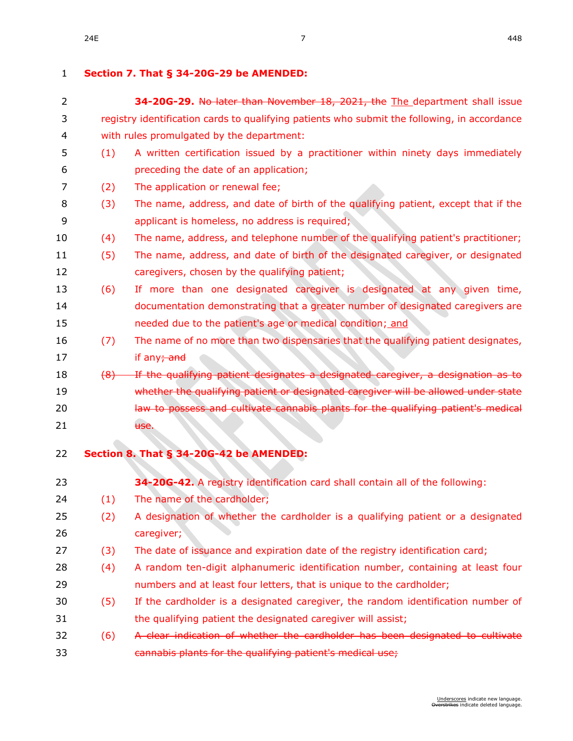### **Section 7. That § [34-20G-29](https://sdlegislature.gov/Statutes?Statute=34-20G-29) be AMENDED:**

| 2  |     | 34-20G-29. No later than November 18, 2021, the The department shall issue                   |
|----|-----|----------------------------------------------------------------------------------------------|
| 3  |     | registry identification cards to qualifying patients who submit the following, in accordance |
| 4  |     | with rules promulgated by the department:                                                    |
| 5  | (1) | A written certification issued by a practitioner within ninety days immediately              |
| 6  |     | preceding the date of an application;                                                        |
| 7  | (2) | The application or renewal fee;                                                              |
| 8  | (3) | The name, address, and date of birth of the qualifying patient, except that if the           |
| 9  |     | applicant is homeless, no address is required;                                               |
| 10 | (4) | The name, address, and telephone number of the qualifying patient's practitioner;            |
| 11 | (5) | The name, address, and date of birth of the designated caregiver, or designated              |
| 12 |     | caregivers, chosen by the qualifying patient;                                                |
| 13 | (6) | If more than one designated caregiver is designated at any given time,                       |
| 14 |     | documentation demonstrating that a greater number of designated caregivers are               |
| 15 |     | needed due to the patient's age or medical condition; and                                    |
| 16 | (7) | The name of no more than two dispensaries that the qualifying patient designates,            |
| 17 |     | if any; and                                                                                  |
| 18 | (8) | If the qualifying patient designates a designated caregiver, a designation as to             |
| 19 |     | whether the qualifying patient or designated caregiver will be allowed under state           |
| 20 |     | law to possess and cultivate cannabis plants for the qualifying patient's medical            |
| 21 |     | use.                                                                                         |
|    |     |                                                                                              |
| 22 |     | Section 8. That § 34-20G-42 be AMENDED:                                                      |
| 23 |     | 34-20G-42. A registry identification card shall contain all of the following:                |
| 24 | (1) | The name of the cardholder;                                                                  |
| 25 | (2) | A designation of whether the cardholder is a qualifying patient or a designated              |
| 26 |     | caregiver;                                                                                   |
| 27 | (3) | The date of issuance and expiration date of the registry identification card;                |
| 28 | (4) | A random ten-digit alphanumeric identification number, containing at least four              |
| 29 |     | numbers and at least four letters, that is unique to the cardholder;                         |
| 30 | (5) | If the cardholder is a designated caregiver, the random identification number of             |
| 31 |     | the qualifying patient the designated caregiver will assist;                                 |
| 32 | (6) | A clear indication of whether the cardholder has been designated to cultivate                |
| 33 |     | cannabis plants for the qualifying patient's medical use;                                    |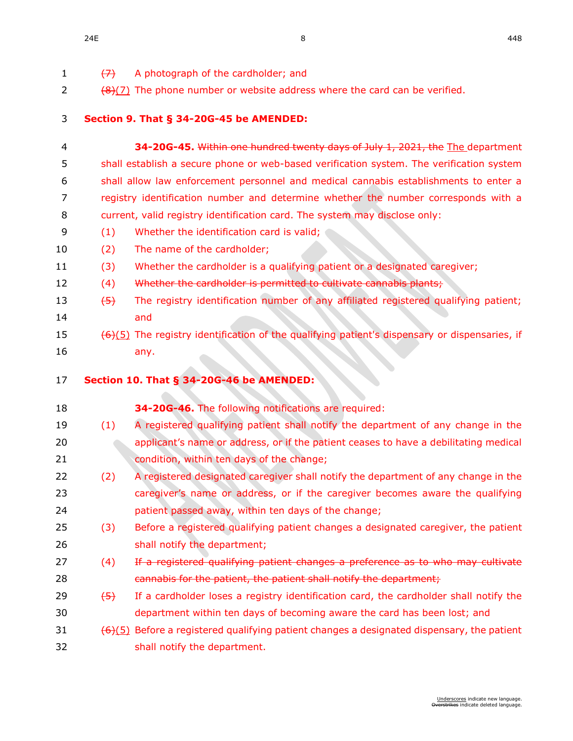| $\mathbf{1}$ | $\leftrightarrow$ | A photograph of the cardholder; and                                                                            |
|--------------|-------------------|----------------------------------------------------------------------------------------------------------------|
| 2            |                   | $(8)(7)$ The phone number or website address where the card can be verified.                                   |
|              |                   |                                                                                                                |
| 3            |                   | Section 9. That § 34-20G-45 be AMENDED:                                                                        |
| 4            |                   | 34-20G-45. Within one hundred twenty days of July 1, 2021, the The department                                  |
| 5            |                   | shall establish a secure phone or web-based verification system. The verification system                       |
| 6            |                   | shall allow law enforcement personnel and medical cannabis establishments to enter a                           |
| 7            |                   | registry identification number and determine whether the number corresponds with a                             |
| 8            |                   | current, valid registry identification card. The system may disclose only:                                     |
| 9            | (1)               | Whether the identification card is valid;                                                                      |
| 10           | (2)               | The name of the cardholder;                                                                                    |
| 11           | (3)               | Whether the cardholder is a qualifying patient or a designated caregiver;                                      |
| 12           | (4)               | Whether the cardholder is permitted to cultivate cannabis plants;                                              |
| 13           | $\left(5\right)$  | The registry identification number of any affiliated registered qualifying patient;                            |
| 14           |                   | and                                                                                                            |
| 15           |                   | $(6)(5)$ The registry identification of the qualifying patient's dispensary or dispensaries, if                |
| 16           |                   | any.                                                                                                           |
|              |                   |                                                                                                                |
|              |                   |                                                                                                                |
| 17           |                   | Section 10. That § 34-20G-46 be AMENDED:                                                                       |
| 18           |                   | 34-20G-46. The following notifications are required:                                                           |
| 19           | (1)               | A registered qualifying patient shall notify the department of any change in the                               |
| 20           |                   | applicant's name or address, or if the patient ceases to have a debilitating medical                           |
| 21           |                   | condition, within ten days of the change;                                                                      |
| 22           | (2)               | A registered designated caregiver shall notify the department of any change in the                             |
| 23           |                   | caregiver's name or address, or if the caregiver becomes aware the qualifying                                  |
| 24           |                   | patient passed away, within ten days of the change;                                                            |
| 25           | (3)               | Before a registered qualifying patient changes a designated caregiver, the patient                             |
| 26           |                   | shall notify the department;                                                                                   |
| 27           | (4)               | If a registered qualifying patient changes a preference as to who may cultivate                                |
| 28           |                   | cannabis for the patient, the patient shall notify the department;                                             |
| 29           | $\left(5\right)$  | If a cardholder loses a registry identification card, the cardholder shall notify the                          |
| 30           |                   | department within ten days of becoming aware the card has been lost; and                                       |
| 31           |                   | $\left(\frac{6}{5}\right)$ Before a registered qualifying patient changes a designated dispensary, the patient |